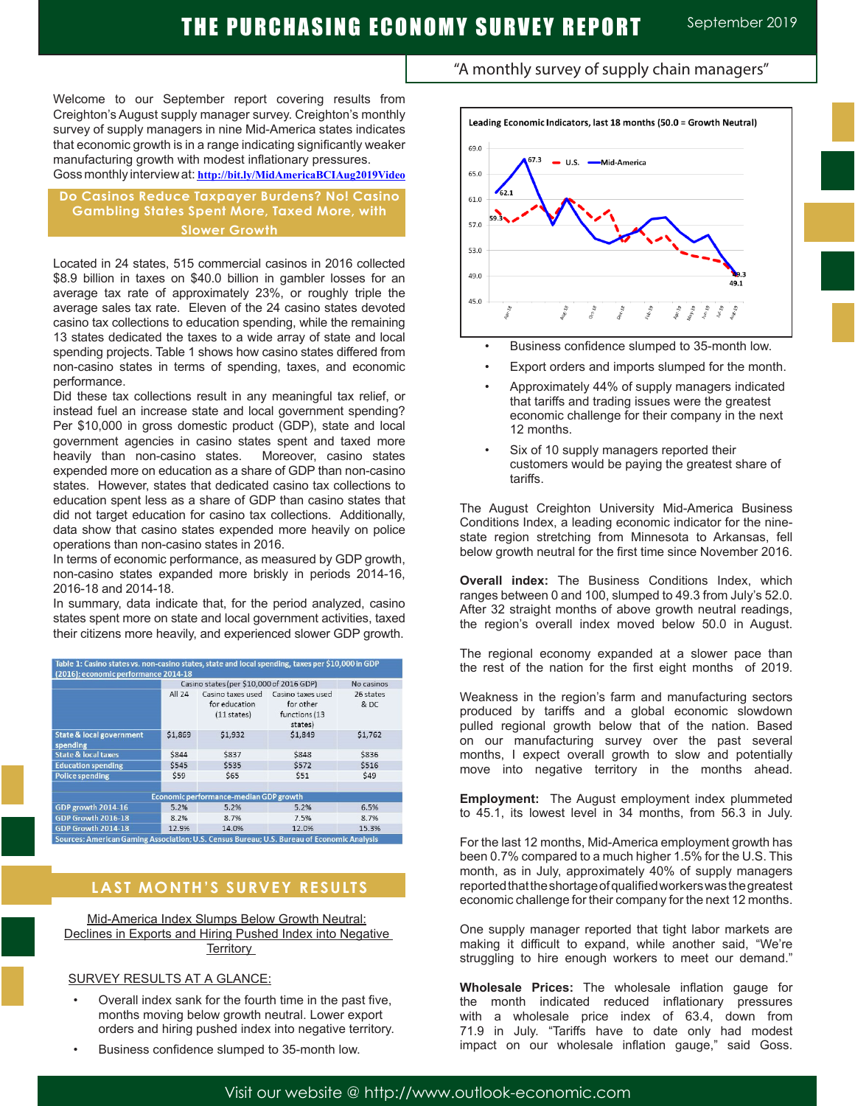Welcome to our September report covering results from Creighton's August supply manager survey. Creighton's monthly survey of supply managers in nine Mid-America states indicates that economic growth is in a range indicating significantly weaker manufacturing growth with modest inflationary pressures.

Goss monthly interview at: **http://bit.ly/MidAmericaBCIAug2019Video**

### **Do Casinos Reduce Taxpayer Burdens? No! Casino Gambling States Spent More, Taxed More, with Slower Growth**

Located in 24 states, 515 commercial casinos in 2016 collected \$8.9 billion in taxes on \$40.0 billion in gambler losses for an average tax rate of approximately 23%, or roughly triple the average sales tax rate. Eleven of the 24 casino states devoted casino tax collections to education spending, while the remaining 13 states dedicated the taxes to a wide array of state and local spending projects. Table 1 shows how casino states differed from non-casino states in terms of spending, taxes, and economic performance.

Did these tax collections result in any meaningful tax relief, or instead fuel an increase state and local government spending? Per \$10,000 in gross domestic product (GDP), state and local government agencies in casino states spent and taxed more heavily than non-casino states. Moreover, casino states expended more on education as a share of GDP than non-casino states. However, states that dedicated casino tax collections to education spent less as a share of GDP than casino states that did not target education for casino tax collections. Additionally, data show that casino states expended more heavily on police operations than non-casino states in 2016.

In terms of economic performance, as measured by GDP growth, non-casino states expanded more briskly in periods 2014-16, 2016-18 and 2014-18.

In summary, data indicate that, for the period analyzed, casino states spent more on state and local government activities, taxed their citizens more heavily, and experienced slower GDP growth.

| Table 1: Casino states vs. non-casino states, state and local spending, taxes per \$10,000 in GDP<br>(2016); economic performance 2014-18 |                                          |                                                   |                                                            |                   |
|-------------------------------------------------------------------------------------------------------------------------------------------|------------------------------------------|---------------------------------------------------|------------------------------------------------------------|-------------------|
|                                                                                                                                           | Casino states (per \$10,000 of 2016 GDP) |                                                   |                                                            | No casinos        |
|                                                                                                                                           | All 24                                   | Casino taxes used<br>for education<br>(11 states) | Casino taxes used<br>for other<br>functions (13<br>states) | 26 states<br>& DC |
| <b>State &amp; local government</b><br>spending                                                                                           | \$1,869                                  | \$1,932                                           | \$1,849                                                    | \$1,762           |
| <b>State &amp; local taxes</b>                                                                                                            | \$844                                    | <b>\$837</b>                                      | \$848                                                      | \$836             |
| <b>Education spending</b>                                                                                                                 | \$545                                    | \$535                                             | \$572                                                      | \$516             |
| <b>Police spending</b>                                                                                                                    | \$59                                     | \$65                                              | \$51                                                       | \$49              |
|                                                                                                                                           |                                          |                                                   |                                                            |                   |
| Economic performance-median GDP growth                                                                                                    |                                          |                                                   |                                                            |                   |
| GDP growth 2014-16                                                                                                                        | 5.2%                                     | 5.2%                                              | 5.2%                                                       | 6.5%              |
| GDP Growth 2016-18                                                                                                                        | 8.2%                                     | 8.7%                                              | 7.5%                                                       | 8.7%              |
| GDP Growth 2014-18                                                                                                                        | 12.9%                                    | 14.0%                                             | 12.0%                                                      | 15.3%             |
| Sources: American Gaming Association; U.S. Census Bureau; U.S. Bureau of Economic Analysis                                                |                                          |                                                   |                                                            |                   |

### **LAST MONTH'S SURVEY RESULTS**

Mid-America Index Slumps Below Growth Neutral: Declines in Exports and Hiring Pushed Index into Negative **Territory** 

#### SURVEY RESULTS AT A GLANCE:

j

- Overall index sank for the fourth time in the past five, months moving below growth neutral. Lower export orders and hiring pushed index into negative territory.
- Business confidence slumped to 35-month low.



- Business confidence slumped to 35-month low.
- Export orders and imports slumped for the month.
- Approximately 44% of supply managers indicated that tariffs and trading issues were the greatest economic challenge for their company in the next 12 months.
- Six of 10 supply managers reported their customers would be paying the greatest share of tariffs.

The August Creighton University Mid-America Business Conditions Index, a leading economic indicator for the ninestate region stretching from Minnesota to Arkansas, fell below growth neutral for the first time since November 2016.

**Overall index:** The Business Conditions Index, which ranges between 0 and 100, slumped to 49.3 from July's 52.0. After 32 straight months of above growth neutral readings, the region's overall index moved below 50.0 in August.

The regional economy expanded at a slower pace than the rest of the nation for the first eight months of 2019.

Weakness in the region's farm and manufacturing sectors produced by tariffs and a global economic slowdown pulled regional growth below that of the nation. Based on our manufacturing survey over the past several months, I expect overall growth to slow and potentially move into negative territory in the months ahead.

**Employment:** The August employment index plummeted to 45.1, its lowest level in 34 months, from 56.3 in July.

For the last 12 months, Mid-America employment growth has been 0.7% compared to a much higher 1.5% for the U.S. This month, as in July, approximately 40% of supply managers reported that the shortage of qualified workers was the greatest economic challenge for their company for the next 12 months.

One supply manager reported that tight labor markets are making it difficult to expand, while another said, "We're struggling to hire enough workers to meet our demand."

**Wholesale Prices:** The wholesale inflation gauge for the month indicated reduced inflationary pressures with a wholesale price index of 63.4, down from 71.9 in July. "Tariffs have to date only had modest impact on our wholesale inflation gauge," said Goss.

# "A monthly survey of supply chain managers"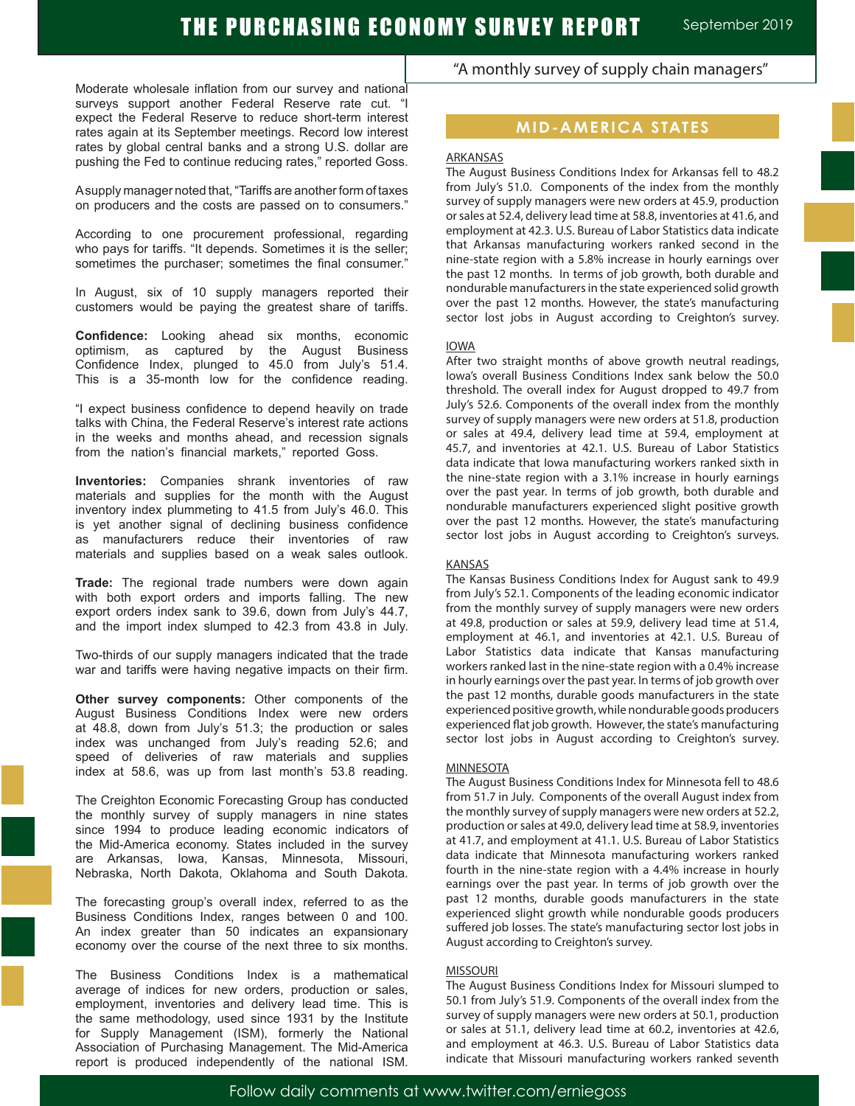Moderate wholesale inflation from our survey and national surveys support another Federal Reserve rate cut. "I expect the Federal Reserve to reduce short-term interest rates again at its September meetings. Record low interest rates by global central banks and a strong U.S. dollar are pushing the Fed to continue reducing rates," reported Goss.

A supply manager noted that, "Tariffs are another form of taxes on producers and the costs are passed on to consumers."

According to one procurement professional, regarding who pays for tariffs. "It depends. Sometimes it is the seller; sometimes the purchaser; sometimes the final consumer."

In August, six of 10 supply managers reported their customers would be paying the greatest share of tariffs.

**Confidence:** Looking ahead six months, economic optimism, as captured by the August Business Confidence Index, plunged to 45.0 from July's 51.4. This is a 35-month low for the confidence reading.

"I expect business confidence to depend heavily on trade talks with China, the Federal Reserve's interest rate actions in the weeks and months ahead, and recession signals from the nation's financial markets," reported Goss.

**Inventories:** Companies shrank inventories of raw materials and supplies for the month with the August inventory index plummeting to 41.5 from July's 46.0. This is yet another signal of declining business confidence as manufacturers reduce their inventories of raw materials and supplies based on a weak sales outlook.

**Trade:** The regional trade numbers were down again with both export orders and imports falling. The new export orders index sank to 39.6, down from July's 44.7, and the import index slumped to 42.3 from 43.8 in July.

Two-thirds of our supply managers indicated that the trade war and tariffs were having negative impacts on their firm.

**Other survey components:** Other components of the August Business Conditions Index were new orders at 48.8, down from July's 51.3; the production or sales index was unchanged from July's reading 52.6; and speed of deliveries of raw materials and supplies index at 58.6, was up from last month's 53.8 reading.

The Creighton Economic Forecasting Group has conducted the monthly survey of supply managers in nine states since 1994 to produce leading economic indicators of the Mid-America economy. States included in the survey are Arkansas, Iowa, Kansas, Minnesota, Missouri, Nebraska, North Dakota, Oklahoma and South Dakota.

The forecasting group's overall index, referred to as the Business Conditions Index, ranges between 0 and 100. An index greater than 50 indicates an expansionary economy over the course of the next three to six months.

The Business Conditions Index is a mathematical average of indices for new orders, production or sales, employment, inventories and delivery lead time. This is the same methodology, used since 1931 by the Institute for Supply Management (ISM), formerly the National Association of Purchasing Management. The Mid-America report is produced independently of the national ISM.

### "A monthly survey of supply chain managers"

### **MID-AMERICA STATES**

#### **ARKANSAS**

The August Business Conditions Index for Arkansas fell to 48.2 from July's 51.0. Components of the index from the monthly survey of supply managers were new orders at 45.9, production or sales at 52.4, delivery lead time at 58.8, inventories at 41.6, and employment at 42.3. U.S. Bureau of Labor Statistics data indicate that Arkansas manufacturing workers ranked second in the nine-state region with a 5.8% increase in hourly earnings over the past 12 months. In terms of job growth, both durable and nondurable manufacturers in the state experienced solid growth over the past 12 months. However, the state's manufacturing sector lost jobs in August according to Creighton's survey.

#### IOWA

After two straight months of above growth neutral readings, Iowa's overall Business Conditions Index sank below the 50.0 threshold. The overall index for August dropped to 49.7 from July's 52.6. Components of the overall index from the monthly survey of supply managers were new orders at 51.8, production or sales at 49.4, delivery lead time at 59.4, employment at 45.7, and inventories at 42.1. U.S. Bureau of Labor Statistics data indicate that Iowa manufacturing workers ranked sixth in the nine-state region with a 3.1% increase in hourly earnings over the past year. In terms of job growth, both durable and nondurable manufacturers experienced slight positive growth over the past 12 months. However, the state's manufacturing sector lost jobs in August according to Creighton's surveys.

#### KANSAS

The Kansas Business Conditions Index for August sank to 49.9 from July's 52.1. Components of the leading economic indicator from the monthly survey of supply managers were new orders at 49.8, production or sales at 59.9, delivery lead time at 51.4, employment at 46.1, and inventories at 42.1. U.S. Bureau of Labor Statistics data indicate that Kansas manufacturing workers ranked last in the nine-state region with a 0.4% increase in hourly earnings over the past year. In terms of job growth over the past 12 months, durable goods manufacturers in the state experienced positive growth, while nondurable goods producers experienced flat job growth. However, the state's manufacturing sector lost jobs in August according to Creighton's survey.

#### **MINNESOTA**

The August Business Conditions Index for Minnesota fell to 48.6 from 51.7 in July. Components of the overall August index from the monthly survey of supply managers were new orders at 52.2, production or sales at 49.0, delivery lead time at 58.9, inventories at 41.7, and employment at 41.1. U.S. Bureau of Labor Statistics data indicate that Minnesota manufacturing workers ranked fourth in the nine-state region with a 4.4% increase in hourly earnings over the past year. In terms of job growth over the past 12 months, durable goods manufacturers in the state experienced slight growth while nondurable goods producers suffered job losses. The state's manufacturing sector lost jobs in August according to Creighton's survey.

#### MISSOURI

The August Business Conditions Index for Missouri slumped to 50.1 from July's 51.9. Components of the overall index from the survey of supply managers were new orders at 50.1, production or sales at 51.1, delivery lead time at 60.2, inventories at 42.6, and employment at 46.3. U.S. Bureau of Labor Statistics data indicate that Missouri manufacturing workers ranked seventh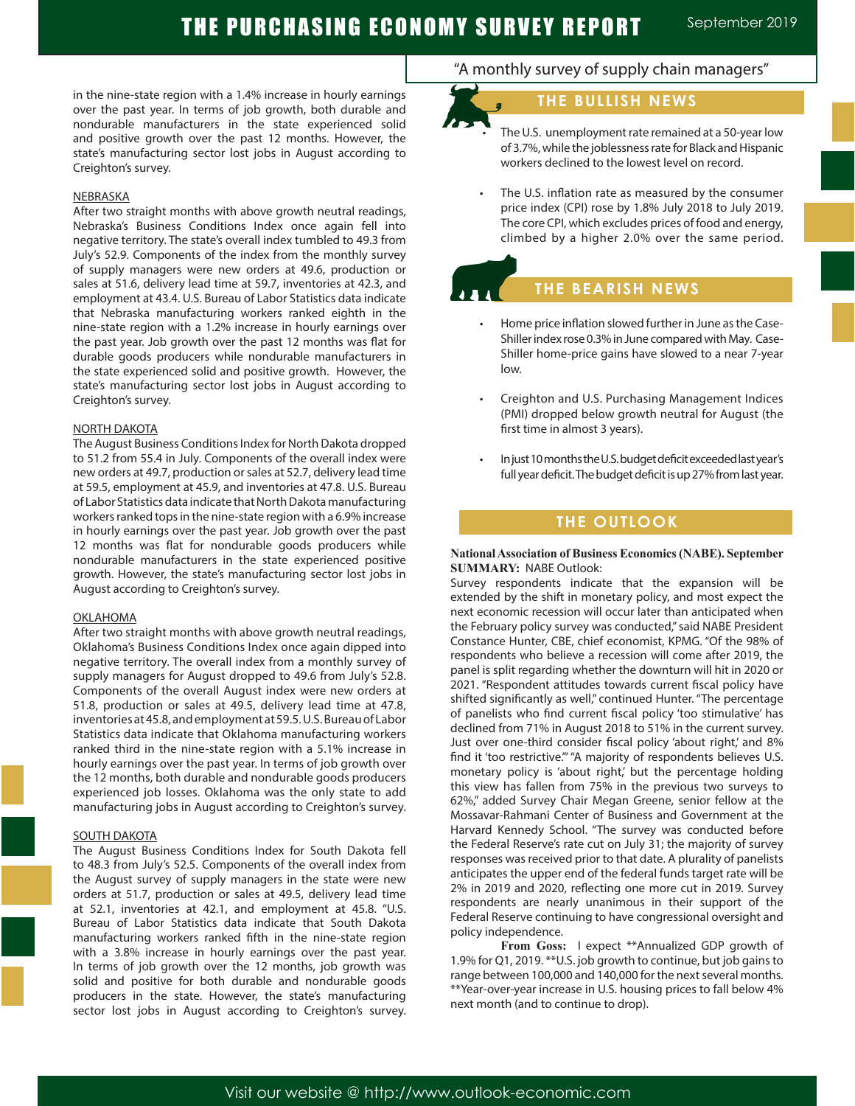# THE PURCHASING ECONOMY SURVEY REPORT September 2019

in the nine-state region with a 1.4% increase in hourly earnings over the past year. In terms of job growth, both durable and nondurable manufacturers in the state experienced solid and positive growth over the past 12 months. However, the state's manufacturing sector lost jobs in August according to Creighton's survey.

#### NEBRASKA

After two straight months with above growth neutral readings, Nebraska's Business Conditions Index once again fell into negative territory. The state's overall index tumbled to 49.3 from July's 52.9. Components of the index from the monthly survey of supply managers were new orders at 49.6, production or sales at 51.6, delivery lead time at 59.7, inventories at 42.3, and employment at 43.4. U.S. Bureau of Labor Statistics data indicate that Nebraska manufacturing workers ranked eighth in the nine-state region with a 1.2% increase in hourly earnings over the past year. Job growth over the past 12 months was flat for durable goods producers while nondurable manufacturers in the state experienced solid and positive growth. However, the state's manufacturing sector lost jobs in August according to Creighton's survey.

#### NORTH DAKOTA

The August Business Conditions Index for North Dakota dropped to 51.2 from 55.4 in July. Components of the overall index were new orders at 49.7, production or sales at 52.7, delivery lead time at 59.5, employment at 45.9, and inventories at 47.8. U.S. Bureau of Labor Statistics data indicate that North Dakota manufacturing workers ranked tops in the nine-state region with a 6.9% increase in hourly earnings over the past year. Job growth over the past 12 months was flat for nondurable goods producers while nondurable manufacturers in the state experienced positive growth. However, the state's manufacturing sector lost jobs in August according to Creighton's survey.

#### OKLAHOMA

After two straight months with above growth neutral readings, Oklahoma's Business Conditions Index once again dipped into negative territory. The overall index from a monthly survey of supply managers for August dropped to 49.6 from July's 52.8. Components of the overall August index were new orders at 51.8, production or sales at 49.5, delivery lead time at 47.8, inventories at 45.8, and employment at 59.5. U.S. Bureau of Labor Statistics data indicate that Oklahoma manufacturing workers ranked third in the nine-state region with a 5.1% increase in hourly earnings over the past year. In terms of job growth over the 12 months, both durable and nondurable goods producers experienced job losses. Oklahoma was the only state to add manufacturing jobs in August according to Creighton's survey.

#### SOUTH DAKOTA

The August Business Conditions Index for South Dakota fell to 48.3 from July's 52.5. Components of the overall index from the August survey of supply managers in the state were new orders at 51.7, production or sales at 49.5, delivery lead time at 52.1, inventories at 42.1, and employment at 45.8. "U.S. Bureau of Labor Statistics data indicate that South Dakota manufacturing workers ranked fifth in the nine-state region with a 3.8% increase in hourly earnings over the past year. In terms of job growth over the 12 months, job growth was solid and positive for both durable and nondurable goods producers in the state. However, the state's manufacturing sector lost jobs in August according to Creighton's survey.

### "A monthly survey of supply chain managers"

### **THE BULLISH NEWS**

The U.S. unemployment rate remained at a 50-year low of 3.7%, while the joblessness rate for Black and Hispanic workers declined to the lowest level on record.

The U.S. inflation rate as measured by the consumer price index (CPI) rose by 1.8% July 2018 to July 2019. The core CPI, which excludes prices of food and energy, climbed by a higher 2.0% over the same period.

# **THE BEARISH NEWS**

- Home price inflation slowed further in June as the Case-Shiller index rose 0.3% in June compared with May. Case-Shiller home-price gains have slowed to a near 7-year low.
- Creighton and U.S. Purchasing Management Indices (PMI) dropped below growth neutral for August (the first time in almost 3 years).
- In just 10 months the U.S. budget deficit exceeded last year's full year deficit. The budget deficit is up 27% from last year.

### **THE OUTLOOK**

#### **National Association of Business Economics (NABE). September SUMMARY:** NABE Outlook:

Survey respondents indicate that the expansion will be extended by the shift in monetary policy, and most expect the next economic recession will occur later than anticipated when the February policy survey was conducted," said NABE President Constance Hunter, CBE, chief economist, KPMG. "Of the 98% of respondents who believe a recession will come after 2019, the panel is split regarding whether the downturn will hit in 2020 or 2021. "Respondent attitudes towards current fiscal policy have shifted significantly as well," continued Hunter. "The percentage of panelists who find current fiscal policy 'too stimulative' has declined from 71% in August 2018 to 51% in the current survey. Just over one-third consider fiscal policy 'about right,' and 8% find it 'too restrictive.'" "A majority of respondents believes U.S. monetary policy is 'about right,' but the percentage holding this view has fallen from 75% in the previous two surveys to 62%," added Survey Chair Megan Greene, senior fellow at the Mossavar-Rahmani Center of Business and Government at the Harvard Kennedy School. "The survey was conducted before the Federal Reserve's rate cut on July 31; the majority of survey responses was received prior to that date. A plurality of panelists anticipates the upper end of the federal funds target rate will be 2% in 2019 and 2020, reflecting one more cut in 2019. Survey respondents are nearly unanimous in their support of the Federal Reserve continuing to have congressional oversight and policy independence.

**From Goss:** I expect \*\*Annualized GDP growth of 1.9% for Q1, 2019. \*\*U.S. job growth to continue, but job gains to range between 100,000 and 140,000 for the next several months. \*\*Year-over-year increase in U.S. housing prices to fall below 4% next month (and to continue to drop).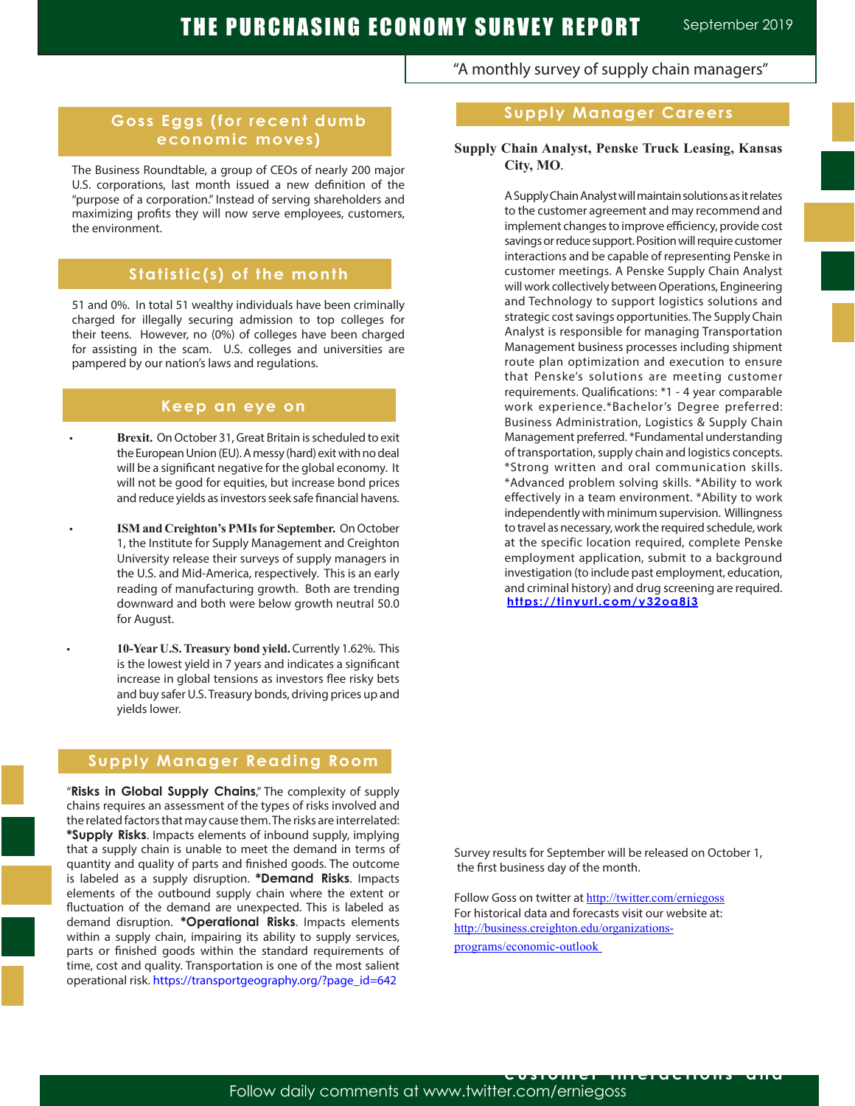"A monthly survey of supply chain managers"

### **Goss Eggs (for recent dumb economic moves)**

The Business Roundtable, a group of CEOs of nearly 200 major U.S. corporations, last month issued a new definition of the "purpose of a corporation." Instead of serving shareholders and maximizing profits they will now serve employees, customers, the environment.

### **Statistic(s) of the month**

51 and 0%. In total 51 wealthy individuals have been criminally charged for illegally securing admission to top colleges for their teens. However, no (0%) of colleges have been charged for assisting in the scam. U.S. colleges and universities are pampered by our nation's laws and regulations.

### **Keep an eye on**

- **Brexit.** On October 31, Great Britain is scheduled to exit the European Union (EU). A messy (hard) exit with no deal will be a significant negative for the global economy. It will not be good for equities, but increase bond prices and reduce yields as investors seek safe financial havens.
- **ISM and Creighton's PMIs for September.** On October 1, the Institute for Supply Management and Creighton University release their surveys of supply managers in the U.S. and Mid-America, respectively. This is an early reading of manufacturing growth. Both are trending downward and both were below growth neutral 50.0 for August.
	- **10-Year U.S. Treasury bond yield.** Currently 1.62%. This is the lowest yield in 7 years and indicates a significant increase in global tensions as investors flee risky bets and buy safer U.S. Treasury bonds, driving prices up and yields lower.

### **Supply Manager Reading Room**

"**Risks in Global Supply Chains**," The complexity of supply chains requires an assessment of the types of risks involved and the related factors that may cause them. The risks are interrelated: **\*Supply Risks**. Impacts elements of inbound supply, implying that a supply chain is unable to meet the demand in terms of quantity and quality of parts and finished goods. The outcome is labeled as a supply disruption. **\*Demand Risks**. Impacts elements of the outbound supply chain where the extent or fluctuation of the demand are unexpected. This is labeled as demand disruption. **\*Operational Risks**. Impacts elements within a supply chain, impairing its ability to supply services, parts or finished goods within the standard requirements of time, cost and quality. Transportation is one of the most salient operational risk. https://transportgeography.org/?page\_id=642

## **Supply Manager Careers**

### **Supply Chain Analyst, Penske Truck Leasing, Kansas City, MO**.

A Supply Chain Analyst will maintain solutions as it relates to the customer agreement and may recommend and implement changes to improve efficiency, provide cost savings or reduce support. Position will require customer interactions and be capable of representing Penske in customer meetings. A Penske Supply Chain Analyst will work collectively between Operations, Engineering and Technology to support logistics solutions and strategic cost savings opportunities. The Supply Chain Analyst is responsible for managing Transportation Management business processes including shipment route plan optimization and execution to ensure that Penske's solutions are meeting customer requirements. Qualifications: \*1 - 4 year comparable work experience.\*Bachelor's Degree preferred: Business Administration, Logistics & Supply Chain Management preferred. \*Fundamental understanding of transportation, supply chain and logistics concepts. \*Strong written and oral communication skills. \*Advanced problem solving skills. \*Ability to work effectively in a team environment. \*Ability to work independently with minimum supervision. Willingness to travel as necessary, work the required schedule, work at the specific location required, complete Penske employment application, submit to a background investigation (to include past employment, education, and criminal history) and drug screening are required. **https://tinyurl.com/y32oa8j3**

Survey results for September will be released on October 1, the first business day of the month.

Follow Goss on twitter at http://twitter.com/erniegoss For historical data and forecasts visit our website at: http://business.creighton.edu/organizations-

programs/economic-outlook